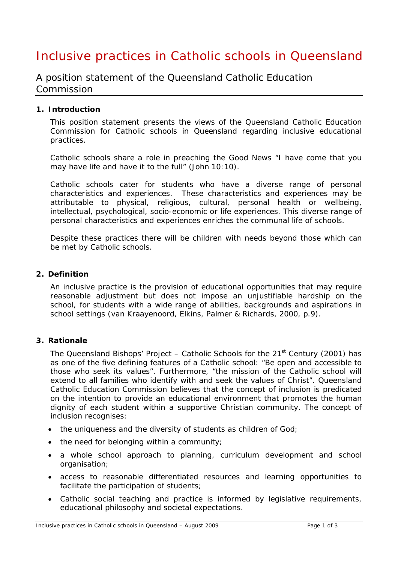# Inclusive practices in Catholic schools in Queensland

A position statement of the Queensland Catholic Education Commission

### **1. Introduction**

This position statement presents the views of the Queensland Catholic Education Commission for Catholic schools in Queensland regarding inclusive educational practices.

Catholic schools share a role in preaching the Good News *"I have come that you may have life and have it to the full" (John 10:10).*

Catholic schools cater for students who have a diverse range of personal characteristics and experiences. These characteristics and experiences may be attributable to physical, religious, cultural, personal health or wellbeing, intellectual, psychological, socio-economic or life experiences. This diverse range of personal characteristics and experiences enriches the communal life of schools.

Despite these practices there will be children with needs beyond those which can be met by Catholic schools.

#### **2. Definition**

An inclusive practice is the provision of educational opportunities that may require reasonable adjustment but does not impose an unjustifiable hardship on the school, for students with a wide range of abilities, backgrounds and aspirations in school settings (van Kraayenoord, Elkins, Palmer & Richards, 2000, p.9).

#### **3. Rationale**

The Queensland Bishops' Project – Catholic Schools for the  $21<sup>st</sup>$  Century (2001) has as one of the five defining features of a Catholic school: "Be open and accessible to those who seek its values". Furthermore, "the mission of the Catholic school will extend to all families who identify with and seek the values of Christ". Queensland Catholic Education Commission believes that the concept of inclusion is predicated on the intention to provide an educational environment that promotes the human dignity of each student within a supportive Christian community. The concept of inclusion recognises:

- the uniqueness and the diversity of students as children of God;
- the need for belonging within a community;
- a whole school approach to planning, curriculum development and school organisation;
- access to reasonable differentiated resources and learning opportunities to facilitate the participation of students;
- Catholic social teaching and practice is informed by legislative requirements, educational philosophy and societal expectations.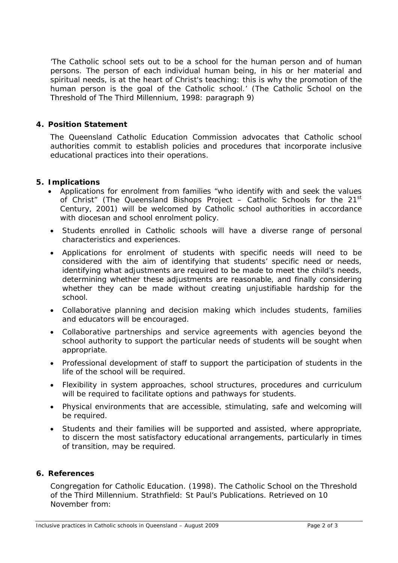'*The Catholic school sets out to be a school for the human person and of human persons. The person of each individual human being, in his or her material and spiritual needs, is at the heart of Christ's teaching: this is why the promotion of the human person is the goal of the Catholic school.' (*The Catholic School on the Threshold of The Third Millennium*,* 1998: paragraph 9)

## **4. Position Statement**

The Queensland Catholic Education Commission advocates that Catholic school authorities commit to establish policies and procedures that incorporate inclusive educational practices into their operations.

## **5. Implications**

- Applications for enrolment from families *"who identify with and seek the values of Christ"* (The Queensland Bishops Project – Catholic Schools for the 21st Century, 2001) will be welcomed by Catholic school authorities in accordance with diocesan and school enrolment policy.
- Students enrolled in Catholic schools will have a diverse range of personal characteristics and experiences.
- Applications for enrolment of students with specific needs will need to be considered with the aim of identifying that students' specific need or needs, identifying what adjustments are required to be made to meet the child's needs, determining whether these adjustments are reasonable, and finally considering whether they can be made without creating unjustifiable hardship for the school.
- Collaborative planning and decision making which includes students, families and educators will be encouraged.
- Collaborative partnerships and service agreements with agencies beyond the school authority to support the particular needs of students will be sought when appropriate.
- Professional development of staff to support the participation of students in the life of the school will be required.
- Flexibility in system approaches, school structures, procedures and curriculum will be required to facilitate options and pathways for students.
- Physical environments that are accessible, stimulating, safe and welcoming will be required.
- Students and their families will be supported and assisted, where appropriate, to discern the most satisfactory educational arrangements, particularly in times of transition, may be required.

#### **6. References**

Congregation for Catholic Education. (1998). *The Catholic School on the Threshold of the Third Millennium*. Strathfield: St Paul's Publications. Retrieved on 10 November from: